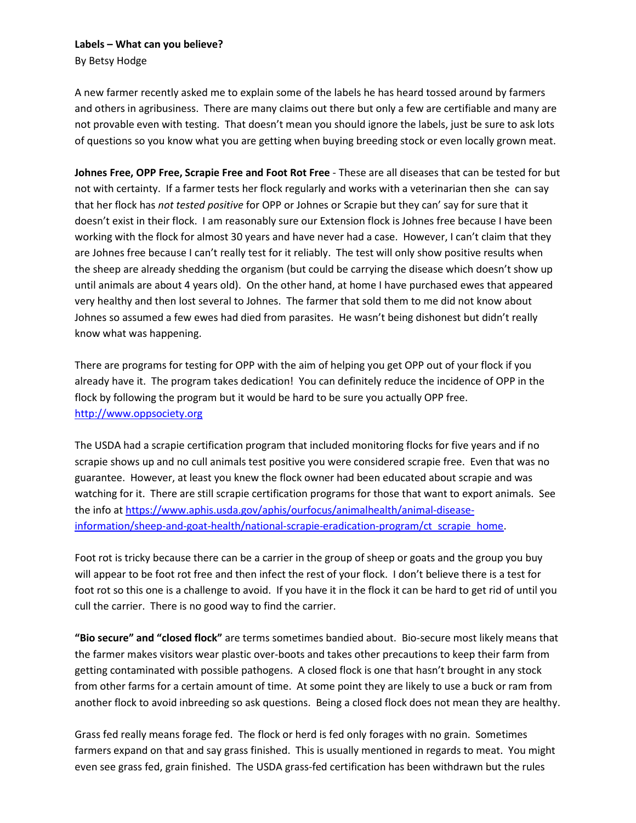A new farmer recently asked me to explain some of the labels he has heard tossed around by farmers and others in agribusiness. There are many claims out there but only a few are certifiable and many are not provable even with testing. That doesn't mean you should ignore the labels, just be sure to ask lots of questions so you know what you are getting when buying breeding stock or even locally grown meat.

**Johnes Free, OPP Free, Scrapie Free and Foot Rot Free** - These are all diseases that can be tested for but not with certainty. If a farmer tests her flock regularly and works with a veterinarian then she can say that her flock has *not tested positive* for OPP or Johnes or Scrapie but they can' say for sure that it doesn't exist in their flock. I am reasonably sure our Extension flock is Johnes free because I have been working with the flock for almost 30 years and have never had a case. However, I can't claim that they are Johnes free because I can't really test for it reliably. The test will only show positive results when the sheep are already shedding the organism (but could be carrying the disease which doesn't show up until animals are about 4 years old). On the other hand, at home I have purchased ewes that appeared very healthy and then lost several to Johnes. The farmer that sold them to me did not know about Johnes so assumed a few ewes had died from parasites. He wasn't being dishonest but didn't really know what was happening.

There are programs for testing for OPP with the aim of helping you get OPP out of your flock if you already have it. The program takes dedication! You can definitely reduce the incidence of OPP in the flock by following the program but it would be hard to be sure you actually OPP free. [http://www.oppsociety.org](http://www.oppsociety.org/)

The USDA had a scrapie certification program that included monitoring flocks for five years and if no scrapie shows up and no cull animals test positive you were considered scrapie free. Even that was no guarantee. However, at least you knew the flock owner had been educated about scrapie and was watching for it. There are still scrapie certification programs for those that want to export animals. See the info at [https://www.aphis.usda.gov/aphis/ourfocus/animalhealth/animal-disease](https://www.aphis.usda.gov/aphis/ourfocus/animalhealth/animal-disease-information/sheep-and-goat-health/national-scrapie-eradication-program/ct_scrapie_home)[information/sheep-and-goat-health/national-scrapie-eradication-program/ct\\_scrapie\\_home.](https://www.aphis.usda.gov/aphis/ourfocus/animalhealth/animal-disease-information/sheep-and-goat-health/national-scrapie-eradication-program/ct_scrapie_home)

Foot rot is tricky because there can be a carrier in the group of sheep or goats and the group you buy will appear to be foot rot free and then infect the rest of your flock. I don't believe there is a test for foot rot so this one is a challenge to avoid. If you have it in the flock it can be hard to get rid of until you cull the carrier. There is no good way to find the carrier.

**"Bio secure" and "closed flock"** are terms sometimes bandied about. Bio-secure most likely means that the farmer makes visitors wear plastic over-boots and takes other precautions to keep their farm from getting contaminated with possible pathogens. A closed flock is one that hasn't brought in any stock from other farms for a certain amount of time. At some point they are likely to use a buck or ram from another flock to avoid inbreeding so ask questions. Being a closed flock does not mean they are healthy.

Grass fed really means forage fed. The flock or herd is fed only forages with no grain. Sometimes farmers expand on that and say grass finished. This is usually mentioned in regards to meat. You might even see grass fed, grain finished. The USDA grass-fed certification has been withdrawn but the rules